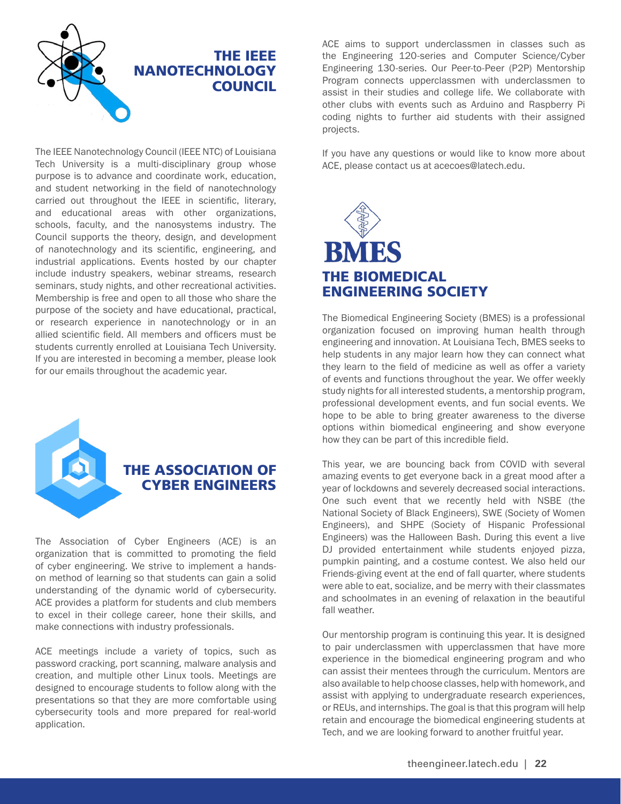

The IEEE Nanotechnology Council (IEEE NTC) of Louisiana Tech University is a multi-disciplinary group whose purpose is to advance and coordinate work, education, and student networking in the field of nanotechnology carried out throughout the IEEE in scientific, literary, and educational areas with other organizations, schools, faculty, and the nanosystems industry. The Council supports the theory, design, and development of nanotechnology and its scientific, engineering, and industrial applications. Events hosted by our chapter include industry speakers, webinar streams, research seminars, study nights, and other recreational activities. Membership is free and open to all those who share the purpose of the society and have educational, practical, or research experience in nanotechnology or in an allied scientific field. All members and officers must be students currently enrolled at Louisiana Tech University. If you are interested in becoming a member, please look for our emails throughout the academic year.



## THE ASSOCIATION OF CYBER ENGINEERS

The Association of Cyber Engineers (ACE) is an organization that is committed to promoting the field of cyber engineering. We strive to implement a handson method of learning so that students can gain a solid understanding of the dynamic world of cybersecurity. ACE provides a platform for students and club members to excel in their college career, hone their skills, and make connections with industry professionals.

ACE meetings include a variety of topics, such as password cracking, port scanning, malware analysis and creation, and multiple other Linux tools. Meetings are designed to encourage students to follow along with the presentations so that they are more comfortable using cybersecurity tools and more prepared for real-world application.

ACE aims to support underclassmen in classes such as the Engineering 120-series and Computer Science/Cyber Engineering 130-series. Our Peer-to-Peer (P2P) Mentorship Program connects upperclassmen with underclassmen to assist in their studies and college life. We collaborate with other clubs with events such as Arduino and Raspberry Pi coding nights to further aid students with their assigned projects.

If you have any questions or would like to know more about ACE, please contact us at acecoes@latech.edu.



The Biomedical Engineering Society (BMES) is a professional organization focused on improving human health through engineering and innovation. At Louisiana Tech, BMES seeks to help students in any major learn how they can connect what they learn to the field of medicine as well as offer a variety of events and functions throughout the year. We offer weekly study nights for all interested students, a mentorship program, professional development events, and fun social events. We hope to be able to bring greater awareness to the diverse options within biomedical engineering and show everyone how they can be part of this incredible field.

This year, we are bouncing back from COVID with several amazing events to get everyone back in a great mood after a year of lockdowns and severely decreased social interactions. One such event that we recently held with NSBE (the National Society of Black Engineers), SWE (Society of Women Engineers), and SHPE (Society of Hispanic Professional Engineers) was the Halloween Bash. During this event a live DJ provided entertainment while students enjoyed pizza, pumpkin painting, and a costume contest. We also held our Friends-giving event at the end of fall quarter, where students were able to eat, socialize, and be merry with their classmates and schoolmates in an evening of relaxation in the beautiful fall weather.

Our mentorship program is continuing this year. It is designed to pair underclassmen with upperclassmen that have more experience in the biomedical engineering program and who can assist their mentees through the curriculum. Mentors are also available to help choose classes, help with homework, and assist with applying to undergraduate research experiences, or REUs, and internships. The goal is that this program will help retain and encourage the biomedical engineering students at Tech, and we are looking forward to another fruitful year.